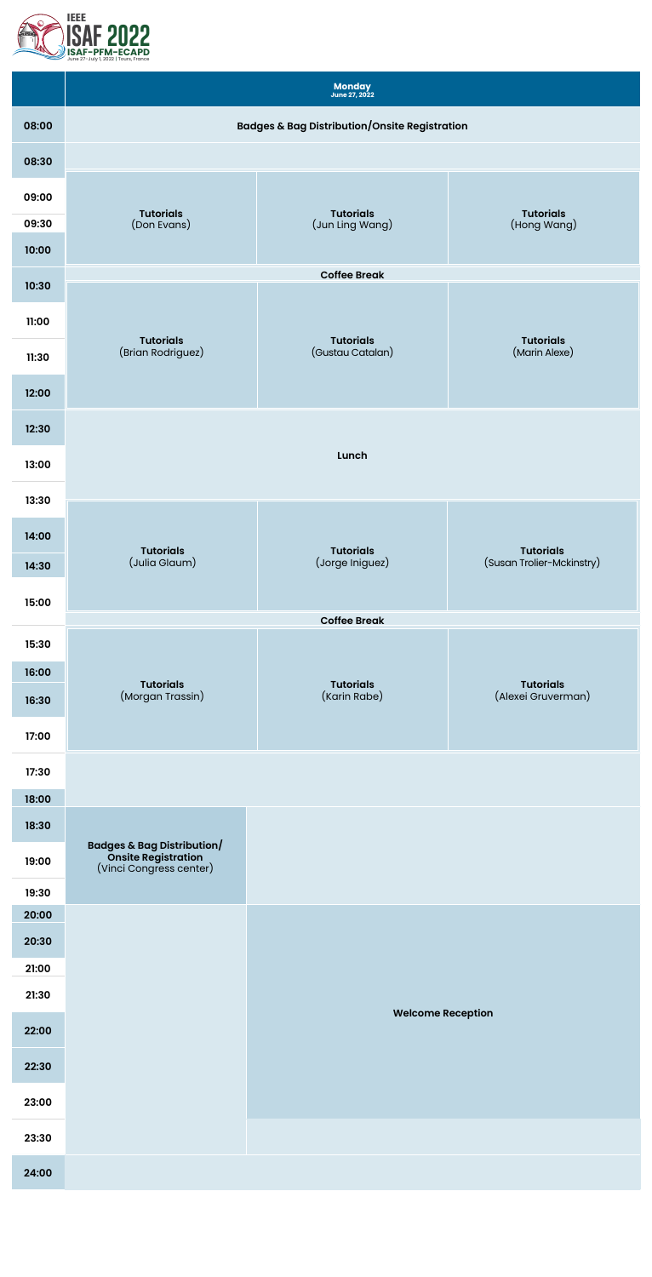

|       |                                                                              | Monday<br><b>June 27, 2022</b>      |                                               |  |  |  |
|-------|------------------------------------------------------------------------------|-------------------------------------|-----------------------------------------------|--|--|--|
| 08:00 | <b>Badges &amp; Bag Distribution/Onsite Registration</b>                     |                                     |                                               |  |  |  |
| 08:30 |                                                                              |                                     |                                               |  |  |  |
| 09:00 |                                                                              |                                     |                                               |  |  |  |
| 09:30 | <b>Tutorials</b><br>(Don Evans)                                              | <b>Tutorials</b><br>(Jun Ling Wang) | <b>Tutorials</b><br>(Hong Wang)               |  |  |  |
| 10:00 |                                                                              |                                     |                                               |  |  |  |
| 10:30 |                                                                              | <b>Coffee Break</b>                 |                                               |  |  |  |
| 11:00 |                                                                              |                                     |                                               |  |  |  |
|       | <b>Tutorials</b>                                                             | <b>Tutorials</b>                    | <b>Tutorials</b>                              |  |  |  |
| 11:30 | (Brian Rodriguez)                                                            | (Gustau Catalan)                    | (Marin Alexe)                                 |  |  |  |
| 12:00 |                                                                              |                                     |                                               |  |  |  |
| 12:30 |                                                                              |                                     |                                               |  |  |  |
| 13:00 |                                                                              | Lunch                               |                                               |  |  |  |
| 13:30 |                                                                              |                                     |                                               |  |  |  |
| 14:00 |                                                                              |                                     |                                               |  |  |  |
| 14:30 | <b>Tutorials</b><br>(Julia Glaum)                                            | <b>Tutorials</b><br>(Jorge Iniguez) | <b>Tutorials</b><br>(Susan Trolier-Mckinstry) |  |  |  |
|       |                                                                              |                                     |                                               |  |  |  |
| 15:00 |                                                                              | <b>Coffee Break</b>                 |                                               |  |  |  |
| 15:30 |                                                                              |                                     |                                               |  |  |  |
| 16:00 | <b>Tutorials</b>                                                             | <b>Tutorials</b>                    | Tutorials                                     |  |  |  |
| 16:30 | (Morgan Trassin)                                                             | (Karin Rabe)                        | (Alexei Gruverman)                            |  |  |  |
| 17:00 |                                                                              |                                     |                                               |  |  |  |
| 17:30 |                                                                              |                                     |                                               |  |  |  |
| 18:00 |                                                                              |                                     |                                               |  |  |  |
| 18:30 |                                                                              |                                     |                                               |  |  |  |
| 19:00 | Badges & Bag Distribution/<br>Onsite Registration<br>(Vinci Congress center) |                                     |                                               |  |  |  |
| 19:30 |                                                                              |                                     |                                               |  |  |  |
| 20:00 |                                                                              |                                     |                                               |  |  |  |
| 20:30 |                                                                              |                                     |                                               |  |  |  |
| 21:00 |                                                                              |                                     |                                               |  |  |  |
| 21:30 |                                                                              | <b>Welcome Reception</b>            |                                               |  |  |  |
| 22:00 |                                                                              |                                     |                                               |  |  |  |
| 22:30 |                                                                              |                                     |                                               |  |  |  |
| 23:00 |                                                                              |                                     |                                               |  |  |  |
| 23:30 |                                                                              |                                     |                                               |  |  |  |
| 24:00 |                                                                              |                                     |                                               |  |  |  |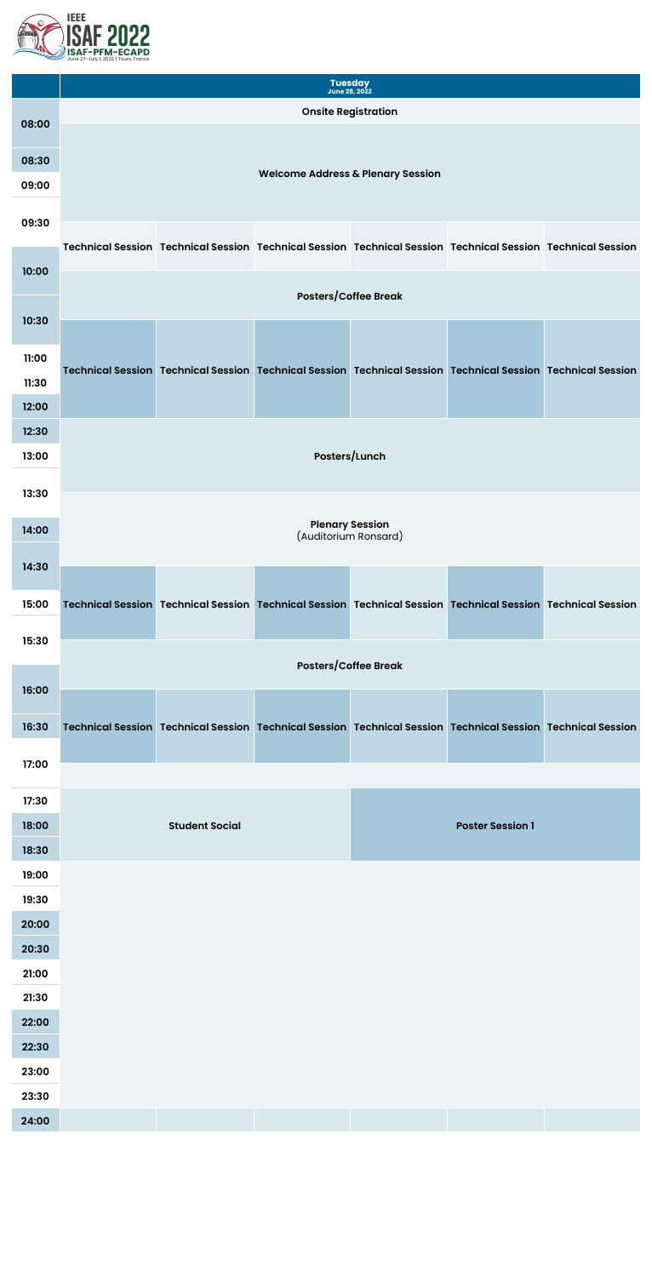

|       | <b>Tuesday</b><br><b>June 28, 2022</b> |  |                                                                                                             |  |  |  |  |
|-------|----------------------------------------|--|-------------------------------------------------------------------------------------------------------------|--|--|--|--|
|       | <b>Onsite Registration</b>             |  |                                                                                                             |  |  |  |  |
| 08:00 |                                        |  |                                                                                                             |  |  |  |  |
| 08:30 |                                        |  |                                                                                                             |  |  |  |  |
| 09:00 |                                        |  | <b>Welcome Address &amp; Plenary Session</b>                                                                |  |  |  |  |
|       |                                        |  |                                                                                                             |  |  |  |  |
| 09:30 |                                        |  |                                                                                                             |  |  |  |  |
|       |                                        |  | Technical Session Technical Session Technical Session Technical Session Technical Session Technical Session |  |  |  |  |
| 10:00 |                                        |  |                                                                                                             |  |  |  |  |
| 10.20 | <b>Posters/Coffee Break</b>            |  |                                                                                                             |  |  |  |  |

| <b>IU:3U</b>   |                                                                                                                       |                                                |                         |  |
|----------------|-----------------------------------------------------------------------------------------------------------------------|------------------------------------------------|-------------------------|--|
| 11:00          |                                                                                                                       |                                                |                         |  |
| 11:30          | Technical Session   Technical Session   Technical Session   Technical Session   Technical Session   Technical Session |                                                |                         |  |
| 12:00          |                                                                                                                       |                                                |                         |  |
| 12:30          |                                                                                                                       |                                                |                         |  |
| 13:00          |                                                                                                                       | Posters/Lunch                                  |                         |  |
|                |                                                                                                                       |                                                |                         |  |
| 13:30          |                                                                                                                       |                                                |                         |  |
| 14:00          |                                                                                                                       | <b>Plenary Session</b><br>(Auditorium Ronsard) |                         |  |
| 14:30          |                                                                                                                       |                                                |                         |  |
|                |                                                                                                                       |                                                |                         |  |
| 15:00          | Technical Session Technical Session Technical Session Technical Session Technical Session Technical Session           |                                                |                         |  |
|                |                                                                                                                       |                                                |                         |  |
| 15:30          |                                                                                                                       |                                                |                         |  |
|                |                                                                                                                       | <b>Posters/Coffee Break</b>                    |                         |  |
| 16:00          |                                                                                                                       |                                                |                         |  |
|                |                                                                                                                       |                                                |                         |  |
| 16:30          | Technical Session Technical Session Technical Session Technical Session Technical Session Technical Session           |                                                |                         |  |
| 17:00          |                                                                                                                       |                                                |                         |  |
|                |                                                                                                                       |                                                |                         |  |
| 17:30          |                                                                                                                       |                                                |                         |  |
| 18:00          | <b>Student Social</b>                                                                                                 |                                                | <b>Poster Session 1</b> |  |
| 18:30          |                                                                                                                       |                                                |                         |  |
| 19:00          |                                                                                                                       |                                                |                         |  |
| 19:30          |                                                                                                                       |                                                |                         |  |
| 20:00<br>20:30 |                                                                                                                       |                                                |                         |  |

| 21:00 |
|-------|
| 21:30 |
| 22:00 |
| 22:30 |
| 23:00 |
| 23:30 |
| 24:00 |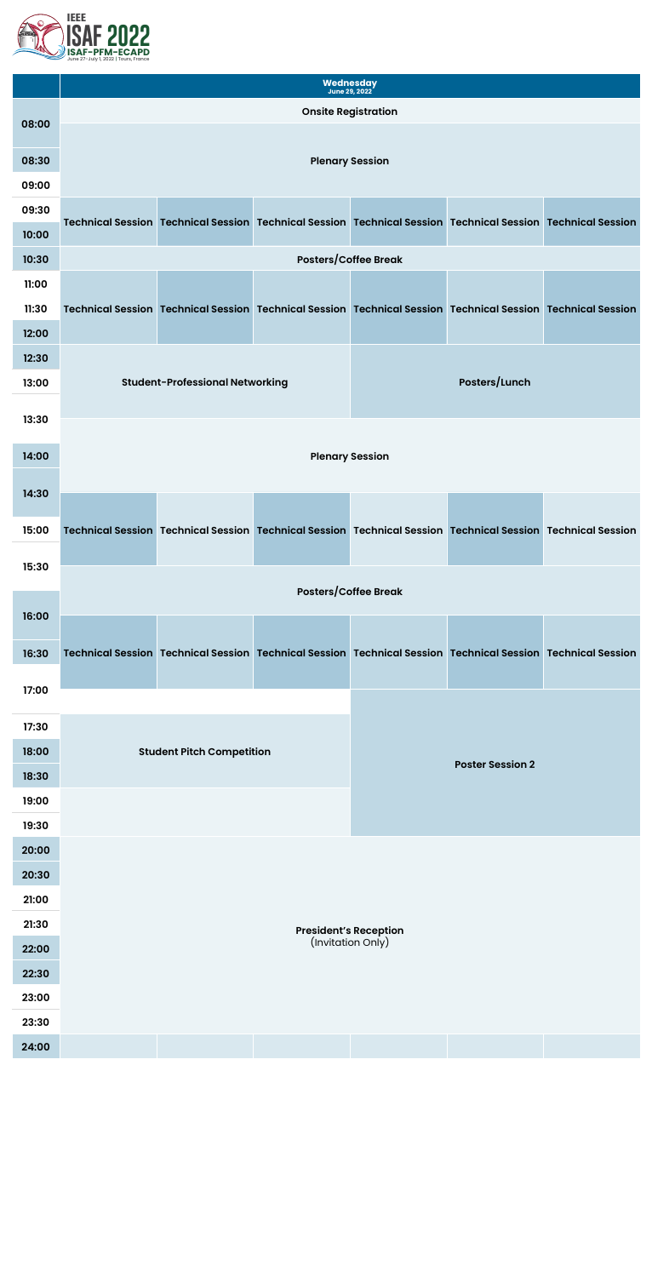

|       | Wednesday<br><b>June 29, 2022</b>                  |                                        |                                                                                                                       |                             |                      |                                                                                                                       |
|-------|----------------------------------------------------|----------------------------------------|-----------------------------------------------------------------------------------------------------------------------|-----------------------------|----------------------|-----------------------------------------------------------------------------------------------------------------------|
|       | <b>Onsite Registration</b>                         |                                        |                                                                                                                       |                             |                      |                                                                                                                       |
| 08:00 |                                                    |                                        |                                                                                                                       |                             |                      |                                                                                                                       |
| 08:30 | <b>Plenary Session</b>                             |                                        |                                                                                                                       |                             |                      |                                                                                                                       |
| 09:00 |                                                    |                                        |                                                                                                                       |                             |                      |                                                                                                                       |
| 09:30 |                                                    |                                        |                                                                                                                       |                             |                      |                                                                                                                       |
| 10:00 |                                                    |                                        |                                                                                                                       |                             |                      | Technical Session   Technical Session   Technical Session   Technical Session   Technical Session   Technical Session |
| 10:30 |                                                    |                                        |                                                                                                                       | <b>Posters/Coffee Break</b> |                      |                                                                                                                       |
| 11:00 |                                                    |                                        |                                                                                                                       |                             |                      |                                                                                                                       |
| 11:30 |                                                    |                                        | Technical Session Technical Session Technical Session Technical Session Technical Session Technical Session           |                             |                      |                                                                                                                       |
| 12:00 |                                                    |                                        |                                                                                                                       |                             |                      |                                                                                                                       |
| 12:30 |                                                    |                                        |                                                                                                                       |                             |                      |                                                                                                                       |
| 13:00 |                                                    | <b>Student-Professional Networking</b> |                                                                                                                       |                             | <b>Posters/Lunch</b> |                                                                                                                       |
|       |                                                    |                                        |                                                                                                                       |                             |                      |                                                                                                                       |
| 13:30 |                                                    |                                        |                                                                                                                       |                             |                      |                                                                                                                       |
| 14:00 |                                                    |                                        |                                                                                                                       | <b>Plenary Session</b>      |                      |                                                                                                                       |
|       |                                                    |                                        |                                                                                                                       |                             |                      |                                                                                                                       |
| 14:30 |                                                    |                                        |                                                                                                                       |                             |                      |                                                                                                                       |
| 15:00 |                                                    |                                        | Technical Session Technical Session Technical Session Technical Session Technical Session Technical Session           |                             |                      |                                                                                                                       |
| 15:30 |                                                    |                                        |                                                                                                                       |                             |                      |                                                                                                                       |
|       |                                                    |                                        |                                                                                                                       | <b>Posters/Coffee Break</b> |                      |                                                                                                                       |
| 16:00 |                                                    |                                        |                                                                                                                       |                             |                      |                                                                                                                       |
|       |                                                    |                                        |                                                                                                                       |                             |                      |                                                                                                                       |
| 16:30 |                                                    |                                        | Technical Session   Technical Session   Technical Session   Technical Session   Technical Session   Technical Session |                             |                      |                                                                                                                       |
| 17:00 |                                                    |                                        |                                                                                                                       |                             |                      |                                                                                                                       |
|       |                                                    |                                        |                                                                                                                       |                             |                      |                                                                                                                       |
| 17:30 |                                                    |                                        |                                                                                                                       |                             |                      |                                                                                                                       |
| 18:00 |                                                    | <b>Student Pitch Competition</b>       |                                                                                                                       | <b>Poster Session 2</b>     |                      |                                                                                                                       |
| 18:30 |                                                    |                                        |                                                                                                                       |                             |                      |                                                                                                                       |
| 19:00 |                                                    |                                        |                                                                                                                       |                             |                      |                                                                                                                       |
| 19:30 |                                                    |                                        |                                                                                                                       |                             |                      |                                                                                                                       |
| 20:00 |                                                    |                                        |                                                                                                                       |                             |                      |                                                                                                                       |
| 20:30 |                                                    |                                        |                                                                                                                       |                             |                      |                                                                                                                       |
| 21:00 |                                                    |                                        |                                                                                                                       |                             |                      |                                                                                                                       |
| 21:30 |                                                    |                                        |                                                                                                                       |                             |                      |                                                                                                                       |
| 22:00 | <b>President's Reception<br/>(Invitation Only)</b> |                                        |                                                                                                                       |                             |                      |                                                                                                                       |

| 22:30 |
|-------|
| 23:00 |
| 23:30 |
| 24:00 |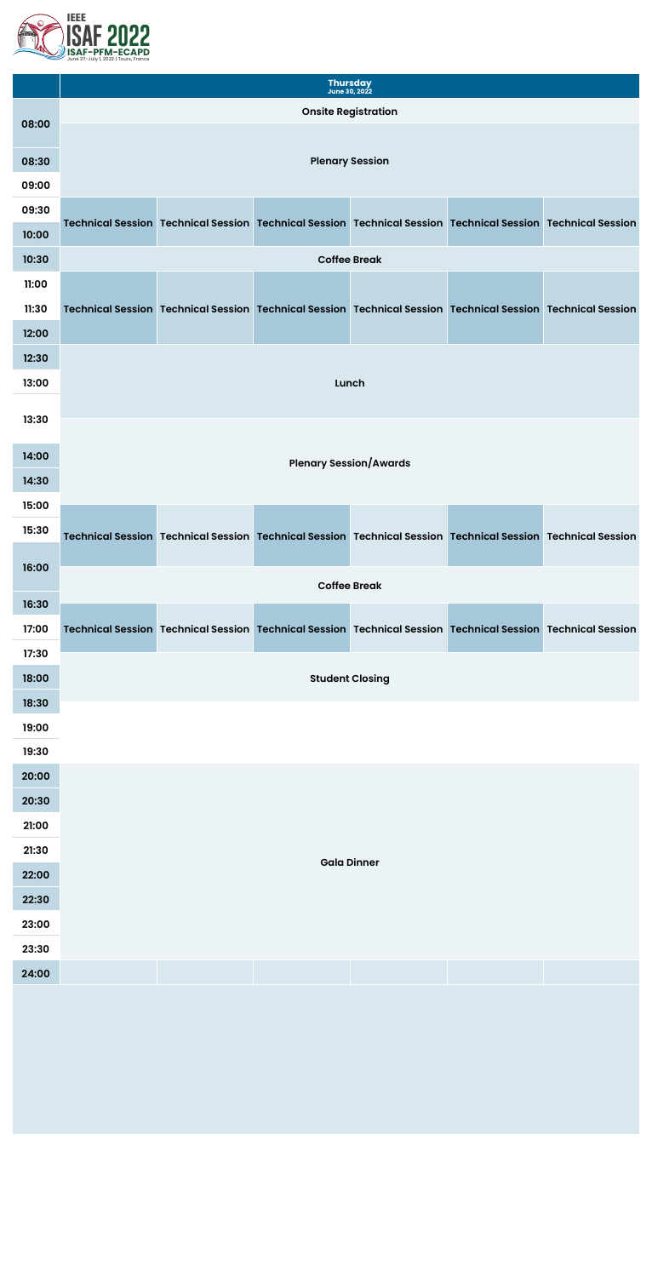

|       | <b>Thursday</b><br><b>June 30, 2022</b> |                        |  |  |                                                                                                             |  |  |  |
|-------|-----------------------------------------|------------------------|--|--|-------------------------------------------------------------------------------------------------------------|--|--|--|
|       | <b>Onsite Registration</b>              |                        |  |  |                                                                                                             |  |  |  |
| 08:00 |                                         |                        |  |  |                                                                                                             |  |  |  |
| 08:30 |                                         | <b>Plenary Session</b> |  |  |                                                                                                             |  |  |  |
| 09:00 |                                         |                        |  |  |                                                                                                             |  |  |  |
| 09:30 |                                         |                        |  |  |                                                                                                             |  |  |  |
| 10:00 |                                         |                        |  |  | Technical Session Technical Session Technical Session Technical Session Technical Session Technical Session |  |  |  |
| 10:30 | <b>Coffee Break</b>                     |                        |  |  |                                                                                                             |  |  |  |
| 11:00 |                                         |                        |  |  |                                                                                                             |  |  |  |
| 11:30 |                                         |                        |  |  | Technical Session Technical Session Technical Session Technical Session Technical Session Technical Session |  |  |  |



| 17:30 |  |                        |  |
|-------|--|------------------------|--|
|       |  |                        |  |
| 18:00 |  | <b>Student Closing</b> |  |
|       |  |                        |  |
| 18:30 |  |                        |  |
| 19:00 |  |                        |  |
|       |  |                        |  |
| 19:30 |  |                        |  |
| 20:00 |  |                        |  |
|       |  |                        |  |
| 20:30 |  |                        |  |
| 21:00 |  |                        |  |
|       |  |                        |  |
| 21:30 |  |                        |  |
| 22:00 |  | <b>Gala Dinner</b>     |  |
|       |  |                        |  |
| 22:30 |  |                        |  |
|       |  |                        |  |
| 23:00 |  |                        |  |
| 23:30 |  |                        |  |